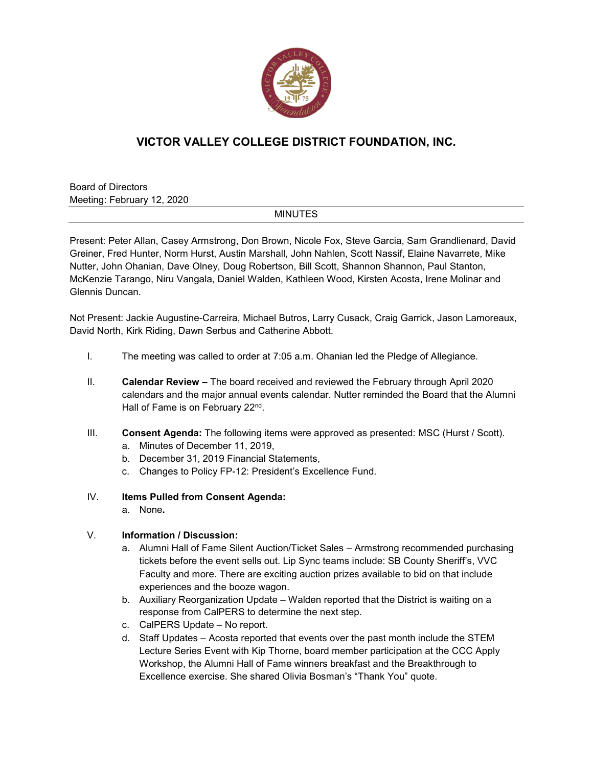

## **VICTOR VALLEY COLLEGE DISTRICT FOUNDATION, INC.**

Board of Directors Meeting: February 12, 2020

## **MINUTES**

Present: Peter Allan, Casey Armstrong, Don Brown, Nicole Fox, Steve Garcia, Sam Grandlienard, David Greiner, Fred Hunter, Norm Hurst, Austin Marshall, John Nahlen, Scott Nassif, Elaine Navarrete, Mike Nutter, John Ohanian, Dave Olney, Doug Robertson, Bill Scott, Shannon Shannon, Paul Stanton, McKenzie Tarango, Niru Vangala, Daniel Walden, Kathleen Wood, Kirsten Acosta, Irene Molinar and Glennis Duncan.

Not Present: Jackie Augustine-Carreira, Michael Butros, Larry Cusack, Craig Garrick, Jason Lamoreaux, David North, Kirk Riding, Dawn Serbus and Catherine Abbott.

- I. The meeting was called to order at 7:05 a.m. Ohanian led the Pledge of Allegiance.
- II. **Calendar Review –** The board received and reviewed the February through April 2020 calendars and the major annual events calendar. Nutter reminded the Board that the Alumni Hall of Fame is on February 22<sup>nd</sup>.
- III. **Consent Agenda:** The following items were approved as presented: MSC (Hurst / Scott).
	- a. Minutes of December 11, 2019,
	- b. December 31, 2019 Financial Statements,
	- c. Changes to Policy FP-12: President's Excellence Fund.
- IV. **Items Pulled from Consent Agenda:**
	- a. None**.**

## V. **Information / Discussion:**

- a. Alumni Hall of Fame Silent Auction/Ticket Sales Armstrong recommended purchasing tickets before the event sells out. Lip Sync teams include: SB County Sheriff's, VVC Faculty and more. There are exciting auction prizes available to bid on that include experiences and the booze wagon.
- b. Auxiliary Reorganization Update Walden reported that the District is waiting on a response from CalPERS to determine the next step.
- c. CalPERS Update No report.
- d. Staff Updates Acosta reported that events over the past month include the STEM Lecture Series Event with Kip Thorne, board member participation at the CCC Apply Workshop, the Alumni Hall of Fame winners breakfast and the Breakthrough to Excellence exercise. She shared Olivia Bosman's "Thank You" quote.